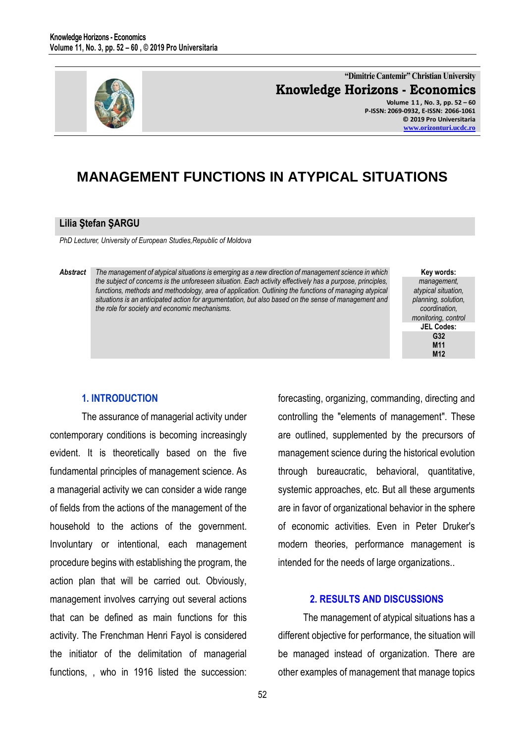

**"Dimitrie Cantemir" Christian University Knowledge Horizons - Economics Volume 1 1 , No. 3, pp. 52 – 60 P-ISSN: 2069-0932, E-ISSN: 2066-1061 © 2019 Pro Universitaria [www.orizonturi.ucdc.ro](http://www.orizonturi.ucdc.ro/)**

# **MANAGEMENT FUNCTIONS IN ATYPICAL SITUATIONS**

#### **Lilia Ştefan ŞARGU**

*PhD Lecturer, University of European Studies,Republic of Moldova*

*Abstract The management of atypical situations is emerging as a new direction of management science in which the subject of concerns is the unforeseen situation. Each activity effectively has a purpose, principles, functions, methods and methodology, area of application. Outlining the functions of managing atypical situations is an anticipated action for argumentation, but also based on the sense of management and the role for society and economic mechanisms.* 

**Key words:** *management, atypical situation, planning, solution, coordination, monitoring, control* **JEL Codes: G32 M11 M12**

#### **1. INTRODUCTION**

The assurance of managerial activity under contemporary conditions is becoming increasingly evident. It is theoretically based on the five fundamental principles of management science. As a managerial activity we can consider a wide range of fields from the actions of the management of the household to the actions of the government. Involuntary or intentional, each management procedure begins with establishing the program, the action plan that will be carried out. Obviously, management involves carrying out several actions that can be defined as main functions for this activity. The Frenchman Henri Fayol is considered the initiator of the delimitation of managerial functions, , who in 1916 listed the succession: forecasting, organizing, commanding, directing and controlling the "elements of management". These are outlined, supplemented by the precursors of management science during the historical evolution through bureaucratic, behavioral, quantitative, systemic approaches, etc. But all these arguments are in favor of organizational behavior in the sphere of economic activities. Even in Peter Druker's modern theories, performance management is intended for the needs of large organizations..

## **2. RESULTS AND DISCUSSIONS**

The management of atypical situations has a different objective for performance, the situation will be managed instead of organization. There are other examples of management that manage topics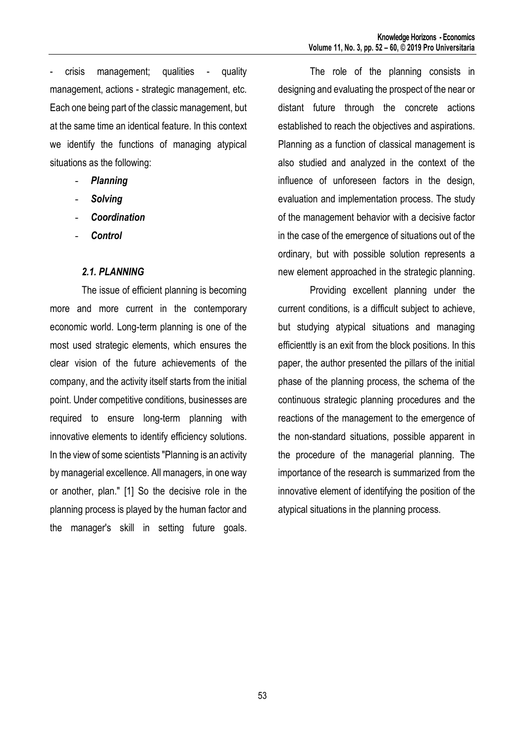- crisis management; qualities - quality management, actions - strategic management, etc. Each one being part of the classic management, but at the same time an identical feature. In this context we identify the functions of managing atypical situations as the following:

- *Planning*
- *Solving*
- *Coordination*
- *Control*

#### *2.1. PLANNING*

The issue of efficient planning is becoming more and more current in the contemporary economic world. Long-term planning is one of the most used strategic elements, which ensures the clear vision of the future achievements of the company, and the activity itself starts from the initial point. Under competitive conditions, businesses are required to ensure long-term planning with innovative elements to identify efficiency solutions. In the view of some scientists "Planning is an activity by managerial excellence. All managers, in one way or another, plan." [1] So the decisive role in the planning process is played by the human factor and the manager's skill in setting future goals.

The role of the planning consists in designing and evaluating the prospect of the near or distant future through the concrete actions established to reach the objectives and aspirations. Planning as a function of classical management is also studied and analyzed in the context of the influence of unforeseen factors in the design, evaluation and implementation process. The study of the management behavior with a decisive factor in the case of the emergence of situations out of the ordinary, but with possible solution represents a new element approached in the strategic planning.

Providing excellent planning under the current conditions, is a difficult subject to achieve, but studying atypical situations and managing efficienttly is an exit from the block positions. In this paper, the author presented the pillars of the initial phase of the planning process, the schema of the continuous strategic planning procedures and the reactions of the management to the emergence of the non-standard situations, possible apparent in the procedure of the managerial planning. The importance of the research is summarized from the innovative element of identifying the position of the atypical situations in the planning process.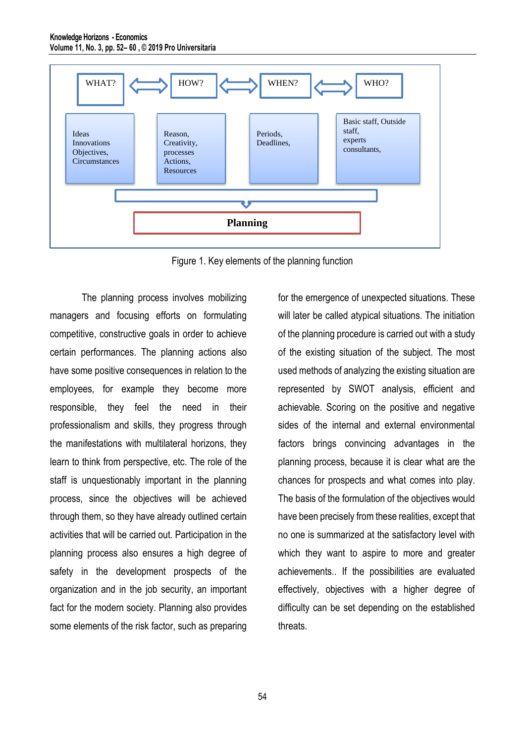

Figure 1. Key elements of the planning function

The planning process involves mobilizing managers and focusing efforts on formulating competitive, constructive goals in order to achieve certain performances. The planning actions also have some positive consequences in relation to the employees, for example they become more responsible, they feel the need in their professionalism and skills, they progress through the manifestations with multilateral horizons, they learn to think from perspective, etc. The role of the staff is unquestionably important in the planning process, since the objectives will be achieved through them, so they have already outlined certain activities that will be carried out. Participation in the planning process also ensures a high degree of safety in the development prospects of the organization and in the job security, an important fact for the modern society. Planning also provides some elements of the risk factor, such as preparing

for the emergence of unexpected situations. These will later be called atypical situations. The initiation of the planning procedure is carried out with a study of the existing situation of the subject. The most used methods of analyzing the existing situation are represented by SWOT analysis, efficient and achievable. Scoring on the positive and negative sides of the internal and external environmental factors brings convincing advantages in the planning process, because it is clear what are the chances for prospects and what comes into play. The basis of the formulation of the objectives would have been precisely from these realities, except that no one is summarized at the satisfactory level with which they want to aspire to more and greater achievements.. If the possibilities are evaluated effectively, objectives with a higher degree of difficulty can be set depending on the established threats.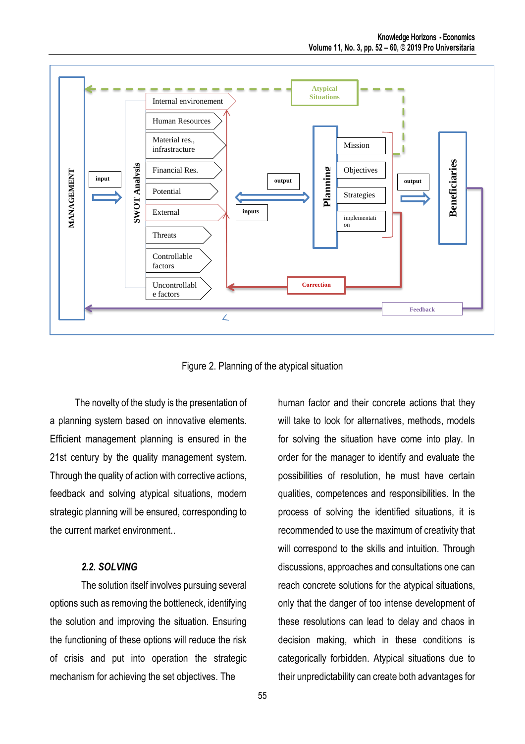

Figure 2. Planning of the atypical situation

The novelty of the study is the presentation of a planning system based on innovative elements. Efficient management planning is ensured in the 21st century by the quality management system. Through the quality of action with corrective actions, feedback and solving atypical situations, modern strategic planning will be ensured, corresponding to the current market environment..

#### *2.2. SOLVING*

The solution itself involves pursuing several options such as removing the bottleneck, identifying the solution and improving the situation. Ensuring the functioning of these options will reduce the risk of crisis and put into operation the strategic mechanism for achieving the set objectives. The

human factor and their concrete actions that they will take to look for alternatives, methods, models for solving the situation have come into play. In order for the manager to identify and evaluate the possibilities of resolution, he must have certain qualities, competences and responsibilities. In the process of solving the identified situations, it is recommended to use the maximum of creativity that will correspond to the skills and intuition. Through discussions, approaches and consultations one can reach concrete solutions for the atypical situations, only that the danger of too intense development of these resolutions can lead to delay and chaos in decision making, which in these conditions is categorically forbidden. Atypical situations due to their unpredictability can create both advantages for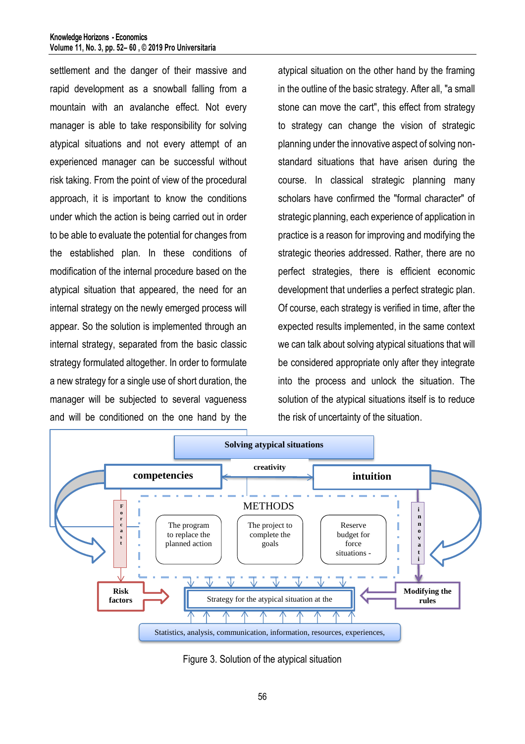settlement and the danger of their massive and rapid development as a snowball falling from a mountain with an avalanche effect. Not every manager is able to take responsibility for solving atypical situations and not every attempt of an experienced manager can be successful without risk taking. From the point of view of the procedural approach, it is important to know the conditions under which the action is being carried out in order to be able to evaluate the potential for changes from the established plan. In these conditions of modification of the internal procedure based on the atypical situation that appeared, the need for an internal strategy on the newly emerged process will appear. So the solution is implemented through an internal strategy, separated from the basic classic strategy formulated altogether. In order to formulate a new strategy for a single use of short duration, the manager will be subjected to several vagueness and will be conditioned on the one hand by the

atypical situation on the other hand by the framing in the outline of the basic strategy. After all, "a small stone can move the cart", this effect from strategy to strategy can change the vision of strategic planning under the innovative aspect of solving nonstandard situations that have arisen during the course. In classical strategic planning many scholars have confirmed the "formal character" of strategic planning, each experience of application in practice is a reason for improving and modifying the strategic theories addressed. Rather, there are no perfect strategies, there is efficient economic development that underlies a perfect strategic plan. Of course, each strategy is verified in time, after the expected results implemented, in the same context we can talk about solving atypical situations that will be considered appropriate only after they integrate into the process and unlock the situation. The solution of the atypical situations itself is to reduce the risk of uncertainty of the situation.



Figure 3. Solution of the atypical situation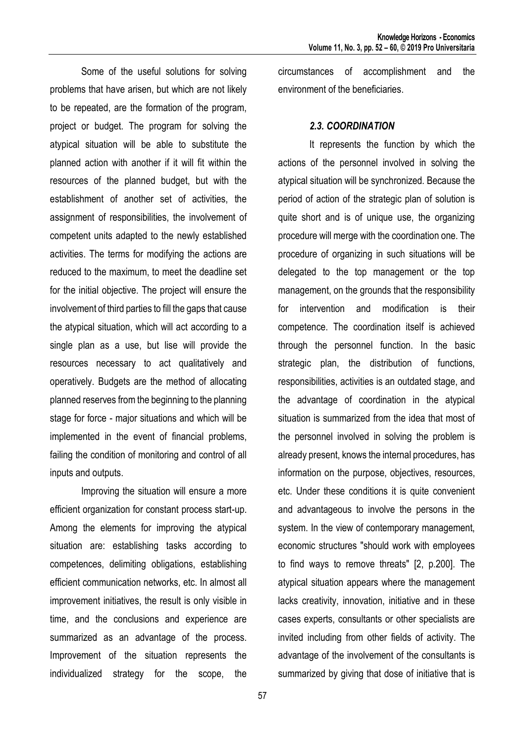Some of the useful solutions for solving problems that have arisen, but which are not likely to be repeated, are the formation of the program, project or budget. The program for solving the atypical situation will be able to substitute the planned action with another if it will fit within the resources of the planned budget, but with the establishment of another set of activities, the assignment of responsibilities, the involvement of competent units adapted to the newly established activities. The terms for modifying the actions are reduced to the maximum, to meet the deadline set for the initial objective. The project will ensure the involvement of third parties to fill the gaps that cause the atypical situation, which will act according to a single plan as a use, but lise will provide the resources necessary to act qualitatively and operatively. Budgets are the method of allocating planned reserves from the beginning to the planning stage for force - major situations and which will be implemented in the event of financial problems, failing the condition of monitoring and control of all inputs and outputs.

Improving the situation will ensure a more efficient organization for constant process start-up. Among the elements for improving the atypical situation are: establishing tasks according to competences, delimiting obligations, establishing efficient communication networks, etc. In almost all improvement initiatives, the result is only visible in time, and the conclusions and experience are summarized as an advantage of the process. Improvement of the situation represents the individualized strategy for the scope, the circumstances of accomplishment and the environment of the beneficiaries.

#### *2.3. COORDINATION*

It represents the function by which the actions of the personnel involved in solving the atypical situation will be synchronized. Because the period of action of the strategic plan of solution is quite short and is of unique use, the organizing procedure will merge with the coordination one. The procedure of organizing in such situations will be delegated to the top management or the top management, on the grounds that the responsibility for intervention and modification is their competence. The coordination itself is achieved through the personnel function. In the basic strategic plan, the distribution of functions, responsibilities, activities is an outdated stage, and the advantage of coordination in the atypical situation is summarized from the idea that most of the personnel involved in solving the problem is already present, knows the internal procedures, has information on the purpose, objectives, resources, etc. Under these conditions it is quite convenient and advantageous to involve the persons in the system. In the view of contemporary management, economic structures "should work with employees to find ways to remove threats" [2, p.200]. The atypical situation appears where the management lacks creativity, innovation, initiative and in these cases experts, consultants or other specialists are invited including from other fields of activity. The advantage of the involvement of the consultants is summarized by giving that dose of initiative that is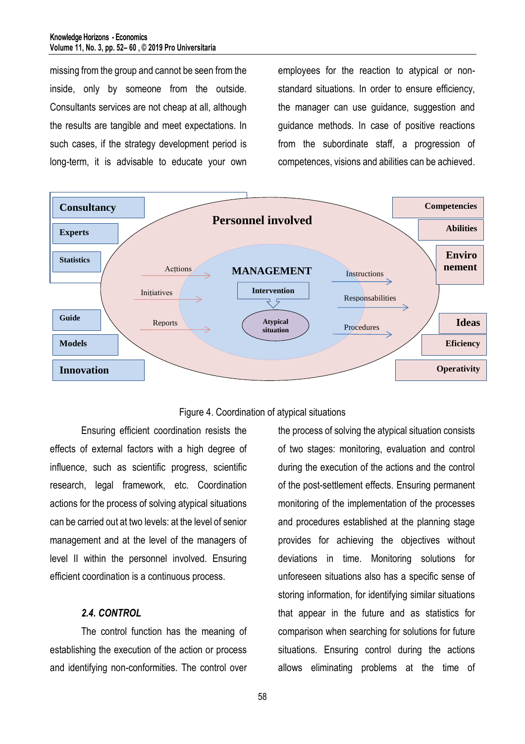missing from the group and cannot be seen from the inside, only by someone from the outside. Consultants services are not cheap at all, although the results are tangible and meet expectations. In such cases, if the strategy development period is long-term, it is advisable to educate your own employees for the reaction to atypical or nonstandard situations. In order to ensure efficiency, the manager can use guidance, suggestion and guidance methods. In case of positive reactions from the subordinate staff, a progression of competences, visions and abilities can be achieved.





Ensuring efficient coordination resists the effects of external factors with a high degree of influence, such as scientific progress, scientific research, legal framework, etc. Coordination actions for the process of solving atypical situations can be carried out at two levels: at the level of senior management and at the level of the managers of level II within the personnel involved. Ensuring efficient coordination is a continuous process.

## *2.4. CONTROL*

The control function has the meaning of establishing the execution of the action or process and identifying non-conformities. The control over the process of solving the atypical situation consists of two stages: monitoring, evaluation and control during the execution of the actions and the control of the post-settlement effects. Ensuring permanent monitoring of the implementation of the processes and procedures established at the planning stage provides for achieving the objectives without deviations in time. Monitoring solutions for unforeseen situations also has a specific sense of storing information, for identifying similar situations that appear in the future and as statistics for comparison when searching for solutions for future situations. Ensuring control during the actions allows eliminating problems at the time of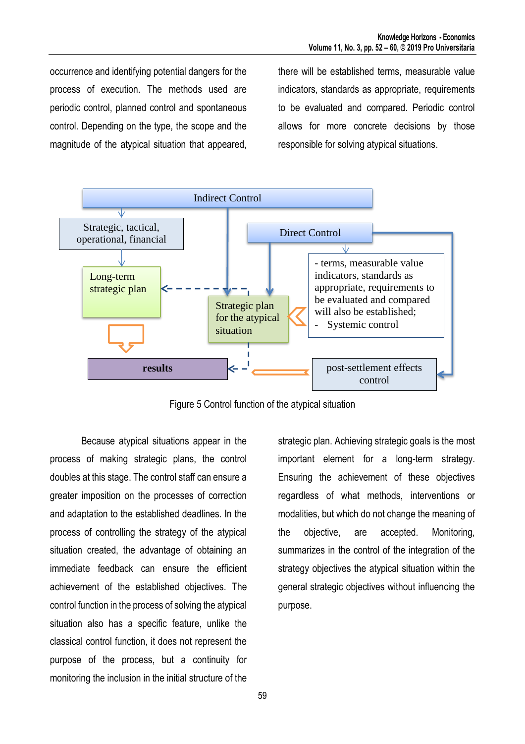occurrence and identifying potential dangers for the process of execution. The methods used are periodic control, planned control and spontaneous control. Depending on the type, the scope and the magnitude of the atypical situation that appeared, there will be established terms, measurable value indicators, standards as appropriate, requirements to be evaluated and compared. Periodic control allows for more concrete decisions by those responsible for solving atypical situations.



Figure 5 Control function of the atypical situation

Because atypical situations appear in the process of making strategic plans, the control doubles at this stage. The control staff can ensure a greater imposition on the processes of correction and adaptation to the established deadlines. In the process of controlling the strategy of the atypical situation created, the advantage of obtaining an immediate feedback can ensure the efficient achievement of the established objectives. The control function in the process of solving the atypical situation also has a specific feature, unlike the classical control function, it does not represent the purpose of the process, but a continuity for monitoring the inclusion in the initial structure of the

strategic plan. Achieving strategic goals is the most important element for a long-term strategy. Ensuring the achievement of these objectives regardless of what methods, interventions or modalities, but which do not change the meaning of the objective, are accepted. Monitoring, summarizes in the control of the integration of the strategy objectives the atypical situation within the general strategic objectives without influencing the purpose.